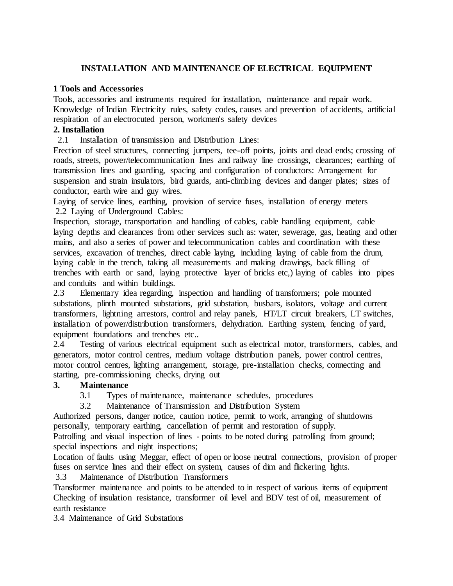## **INSTALLATION AND MAINTENANCE OF ELECTRICAL EQUIPMENT**

## **1 Tools and Accessories**

Tools, accessories and instruments required for installation, maintenance and repair work. Knowledge of Indian Electricity rules, safety codes, causes and prevention of accidents, artificial respiration of an electrocuted person, workmen's safety devices

## **2. Installation**

2.1 Installation of transmission and Distribution Lines:

Erection of steel structures, connecting jumpers, tee-off points, joints and dead ends; crossing of roads, streets, power/telecommunication lines and railway line crossings, clearances; earthing of transmission lines and guarding, spacing and configuration of conductors: Arrangement for suspension and strain insulators, bird guards, anti-climbing devices and danger plates; sizes of conductor, earth wire and guy wires.

Laying of service lines, earthing, provision of service fuses, installation of energy meters 2.2 Laying of Underground Cables:

Inspection, storage, transportation and handling of cables, cable handling equipment, cable laying depths and clearances from other services such as: water, sewerage, gas, heating and other mains, and also a series of power and telecommunication cables and coordination with these services, excavation of trenches, direct cable laying, including laying of cable from the drum, laying cable in the trench, taking all measurements and making drawings, back filling of trenches with earth or sand, laying protective layer of bricks etc,) laying of cables into pipes and conduits and within buildings.

2.3 Elementary idea regarding, inspection and handling of transformers; pole mounted substations, plinth mounted substations, grid substation, busbars, isolators, voltage and current transformers, lightning arrestors, control and relay panels, HT/LT circuit breakers, LT switches, installation of power/distribution transformers, dehydration. Earthing system, fencing of yard, equipment foundations and trenches etc..

2.4 Testing of various electrical equipment such as electrical motor, transformers, cables, and generators, motor control centres, medium voltage distribution panels, power control centres, motor control centres, lighting arrangement, storage, pre-installation checks, connecting and starting, pre-commissioning checks, drying out

## **3. Maintenance**

- 3.1 Types of maintenance, maintenance schedules, procedures
- 3.2 Maintenance of Transmission and Distribution System

Authorized persons, danger notice, caution notice, permit to work, arranging of shutdowns personally, temporary earthing, cancellation of permit and restoration of supply.

Patrolling and visual inspection of lines - points to be noted during patrolling from ground; special inspections and night inspections;

Location of faults using Meggar, effect of open or loose neutral connections, provision of proper fuses on service lines and their effect on system, causes of dim and flickering lights.

3.3 Maintenance of Distribution Transformers

Transformer maintenance and points to be attended to in respect of various items of equipment Checking of insulation resistance, transformer oil level and BDV test of oil, measurement of earth resistance

3.4 Maintenance of Grid Substations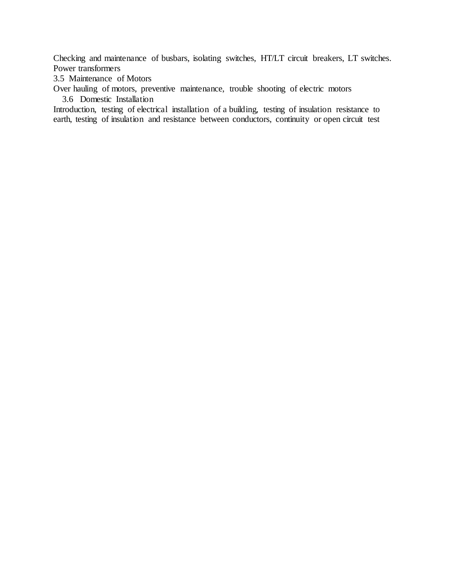Checking and maintenance of busbars, isolating switches, HT/LT circuit breakers, LT switches. Power transformers

3.5 Maintenance of Motors

Over hauling of motors, preventive maintenance, trouble shooting of electric motors

3.6 Domestic Installation

Introduction, testing of electrical installation of a building, testing of insulation resistance to earth, testing of insulation and resistance between conductors, continuity or open circuit test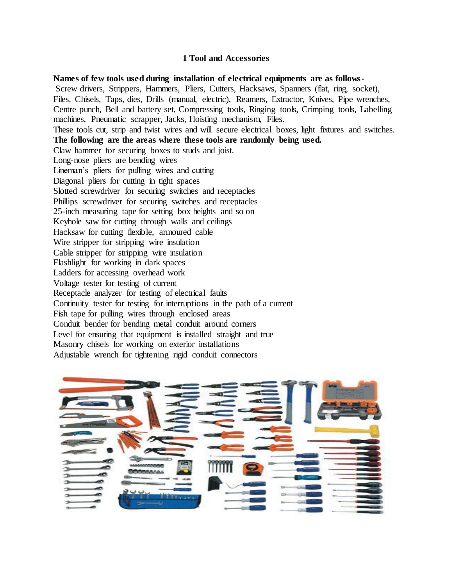#### **1 Tool and Accessories**

**Names of few tools used during installation of electrical equipments are as follows-**Screw drivers, Strippers, Hammers, Pliers, Cutters, Hacksaws, Spanners (flat, ring, socket), Files, Chisels, Taps, dies, Drills (manual, electric), Reamers, Extractor, Knives, Pipe wrenches, Centre punch, Bell and battery set, Compressing tools, Ringing tools, Crimping tools, Labelling machines, Pneumatic scrapper, Jacks, Hoisting mechanism, Files. These tools cut, strip and twist wires and will secure electrical boxes, light fixtures and switches. **The following are the areas where these tools are randomly being used.** Claw hammer for securing boxes to studs and joist. Long-nose pliers are bending wires Lineman's pliers for pulling wires and cutting Diagonal pliers for cutting in tight spaces Slotted screwdriver for securing switches and receptacles Phillips screwdriver for securing switches and receptacles 25-inch measuring tape for setting box heights and so on Keyhole saw for cutting through walls and ceilings Hacksaw for cutting flexible, armoured cable Wire stripper for stripping wire insulation Cable stripper for stripping wire insulation Flashlight for working in dark spaces Ladders for accessing overhead work Voltage tester for testing of current Receptacle analyzer for testing of electrical faults Continuity tester for testing for interruptions in the path of a current Fish tape for pulling wires through enclosed areas Conduit bender for bending metal conduit around corners Level for ensuring that equipment is installed straight and true Masonry chisels for working on exterior installations Adjustable wrench for tightening rigid conduit connectors

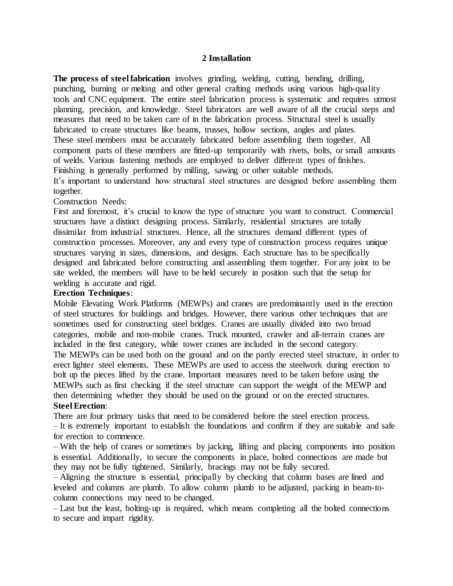#### **2 Installation**

**The process of steel fabrication** involves grinding, welding, cutting, bending, drilling, punching, burning or melting and other general crafting methods using various [high-quality](http://northern-weldarc.com/equipment/) tools and CNC [equipment.](http://northern-weldarc.com/equipment/) The entire steel fabrication process is systematic and requires utmost planning, precision, and knowledge. Steel fabricators are well aware of all the crucial steps and measures that need to be taken care of in the fabrication process. Structural steel is usually fabricated to create structures like beams, trusses, hollow sections, angles and plates. These steel members must be accurately fabricated before assembling them together. All component parts of these members are fitted-up temporarily with rivets, bolts, or small amounts of welds. Various fastening methods are employed to deliver different types of finishes. Finishing is generally performed by milling, sawing or other suitable methods. It's important to understand how structural steel structures are designed before assembling them together.

#### Construction Needs:

First and foremost, it's crucial to know the type of structure you want to construct. Commercial structures have a distinct designing process. Similarly, residential structures are totally dissimilar from industrial structures. Hence, all the structures demand different types of construction processes. Moreover, any and every type of construction process requires unique structures varying in sizes, dimensions, and designs. Each structure has to be specifically designed and fabricated before constructing and assembling them together. For any joint to be site welded, the members will have to be held securely in position such that the setup for welding is accurate and rigid.

## **Erection Techniques**:

Mobile Elevating Work Platforms (MEWPs) and cranes are predominantly used in the erection of steel structures for buildings and bridges. However, there various other techniques that are sometimes used for constructing steel bridges. Cranes are usually divided into two broad categories, mobile and non-mobile cranes. Truck mounted, crawler and all-terrain cranes are included in the first category, while tower cranes are included in the second category. The MEWPs can be used both on the ground and on the partly erected steel structure, in order to erect lighter steel elements. These MEWPs are used to access the steelwork during erection to bolt up the pieces lifted by the crane. Important measures need to be taken before using the MEWPs such as first checking if the steel structure can support the weight of the MEWP and then determining whether they should be used on the ground or on the erected structures. **Steel Erection**:

# There are four primary tasks that need to be considered before the steel erection process.

– It is extremely important to establish the foundations and confirm if they are suitable and safe for erection to commence.

– With the help of cranes or sometimes by jacking, lifting and placing components into position is essential. Additionally, to secure the components in place, bolted connections are made but they may not be fully tightened. Similarly, bracings may not be fully secured.

– Aligning the structure is essential, principally by checking that column bases are lined and leveled and columns are plumb. To allow column plumb to be adjusted, packing in beam-tocolumn connections may need to be changed.

– Last but the least, bolting-up is required, which means completing all the bolted connections to secure and impart rigidity.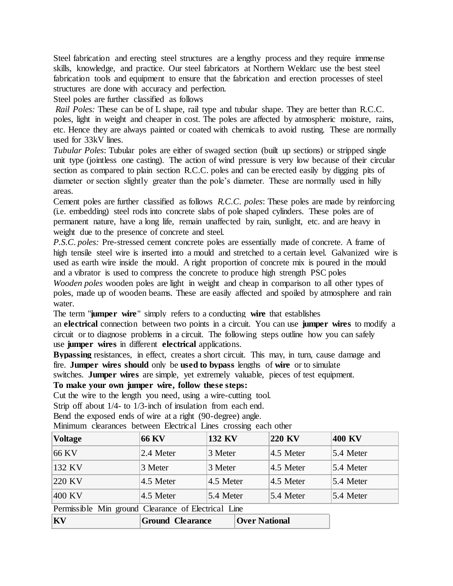Steel [fabrication](http://northern-weldarc.com/about-us/) and erecting steel structures are a lengthy process and they require immense skills, knowledge, and practice. Our steel fabricators at Northern Weldarc use the best steel fabrication tools and equipment to ensure that the fabrication and erection processes of steel structures are done with accuracy and perfection.

Steel poles are further classified as follows

*Rail Poles:* These can be of L shape, rail type and tubular shape. They are better than R.C.C. poles, light in weight and cheaper in cost. The poles are affected by atmospheric moisture, rains, etc. Hence they are always painted or coated with chemicals to avoid rusting. These are normally used for 33kV lines.

*Tubular Poles*: Tubular poles are either of swaged section (built up sections) or stripped single unit type (jointless one casting). The action of wind pressure is very low because of their circular section as compared to plain section R.C.C. poles and can be erected easily by digging pits of diameter or section slightly greater than the pole's diameter. These are normally used in hilly areas.

Cement poles are further classified as follows *R.C.C. poles*: These poles are made by reinforcing (i.e. embedding) steel rods into concrete slabs of pole shaped cylinders. These poles are of permanent nature, have a long life, remain unaffected by rain, sunlight, etc. and are heavy in weight due to the presence of concrete and steel.

*P.S.C. poles:* Pre-stressed cement concrete poles are essentially made of concrete. A frame of high tensile steel wire is inserted into a mould and stretched to a certain level. Galvanized wire is used as earth wire inside the mould. A right proportion of concrete mix is poured in the mould and a vibrator is used to compress the concrete to produce high strength PSC poles *Wooden poles* wooden poles are light in weight and cheap in comparison to all other types of poles, made up of wooden beams. These are easily affected and spoiled by atmosphere and rain water.

The term "**jumper wire**" simply refers to a conducting **wire** that establishes

an **electrical** connection between two points in a circuit. You can use **jumper wires** to modify a circuit or to diagnose problems in a circuit. The following steps outline how you can safely use **jumper wires** in different **electrical** applications.

**Bypassing** resistances, in effect, creates a short circuit. This may, in turn, cause damage and fire. **Jumper wires should** only be **used to bypass** lengths of **wire** or to simulate

switches. **Jumper wires** are simple, yet extremely valuable, pieces of test equipment.

#### **To make your own jumper wire, follow these steps:**

Cut the wire to the length you need, using a wire-cutting tool.

Strip off about 1/4- to 1/3-inch of insulation from each end.

Bend the exposed ends of wire at a right (90-degree) angle.

Minimum clearances between Electrical Lines crossing each other

| <b>Voltage</b>                                      | <b>66 KV</b>          | 132 KV                | 220 KV                | 400 KV      |
|-----------------------------------------------------|-----------------------|-----------------------|-----------------------|-------------|
| 66 KV                                               | 2.4 Meter             | 3 Meter               | $4.5$ Meter           | 5.4 Meter   |
| 132 KV                                              | 3 Meter               | 3 Meter               | $4.5$ Meter           | $5.4$ Meter |
| 220 KV                                              | $4.5$ Meter           | $ 4.5 \text{ meter} $ | $ 4.5 \text{ meter} $ | $5.4$ Meter |
| 400 KV                                              | $ 4.5 \text{ meter} $ | 5.4 Meter             | 5.4 Meter             | 5.4 Meter   |
| Permissible Min ground Clearance of Electrical Line |                       |                       |                       |             |

| $ {\bf K}{\bf V}\>$ | <b>Ground Clearance</b> | <b>Over National</b> |
|---------------------|-------------------------|----------------------|
|---------------------|-------------------------|----------------------|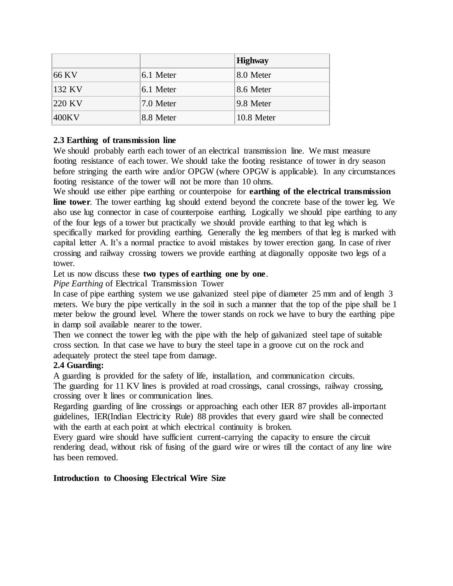|        |           | <b>Highway</b> |
|--------|-----------|----------------|
| 66 KV  | 6.1 Meter | 8.0 Meter      |
| 132 KV | 6.1 Meter | 8.6 Meter      |
| 220 KV | 7.0 Meter | 9.8 Meter      |
| 400KV  | 8.8 Meter | 10.8 Meter     |

## **2.3 Earthing of transmission line**

We should probably earth each tower of an electrical [transmission](https://www.electrical4u.com/transmission-line-in-power-system/) line. We must measure footing [resistance](https://www.electrical4u.com/electrical-resistance-and-laws-of-resistance/) of each tower. We should take the footing resistance of tower in dry season before stringing the earth wire and/or OPGW (where OPGW is applicable). In any circumstances footing resistance of the tower will not be more than 10 ohms.

We should use either pipe earthing or counterpoise for **earthing of the electrical transmission line tower**. The tower earthing lug should extend beyond the concrete base of the tower leg. We also use lug connector in case of counterpoise earthing. Logically we should pipe earthing to any of the four legs of a tower but practically we should provide earthing to that leg which is specifically marked for providing earthing. Generally the leg members of that leg is marked with capital letter A. It's a normal practice to avoid mistakes by tower erection gang. In case of river crossing and railway crossing towers we provide earthing at diagonally opposite two legs of a tower.

### Let us now discuss these **two types of earthing one by one**.

### *Pipe Earthing* of Electrical Transmission Tower

In case of pipe earthing system we use galvanized steel pipe of diameter 25 mm and of length 3 meters. We bury the pipe vertically in the soil in such a manner that the top of the pipe shall be 1 meter below the ground level. Where the tower stands on rock we have to bury the earthing pipe in damp soil available nearer to the tower.

Then we connect the tower leg with the pipe with the help of galvanized steel tape of suitable cross section. In that case we have to bury the steel tape in a groove cut on the rock and adequately protect the steel tape from damage.

### **2.4 Guarding:**

A guarding is provided for the safety of life, installation, and communication circuits.

The guarding for 11 KV lines is provided at road crossings, canal crossings, railway crossing, crossing over lt lines or communication lines.

Regarding guarding of line crossings or approaching each other IER 87 provides all-important guidelines, IER(Indian Electricity Rule) 88 provides that every guard wire shall be connected with the earth at each point at which electrical continuity is broken.

Every guard wire should have sufficient current-carrying the capacity to ensure the circuit rendering dead, without risk of fusing of the guard wire or wires till the contact of any line wire has been removed.

#### **Introduction to Choosing Electrical Wire Size**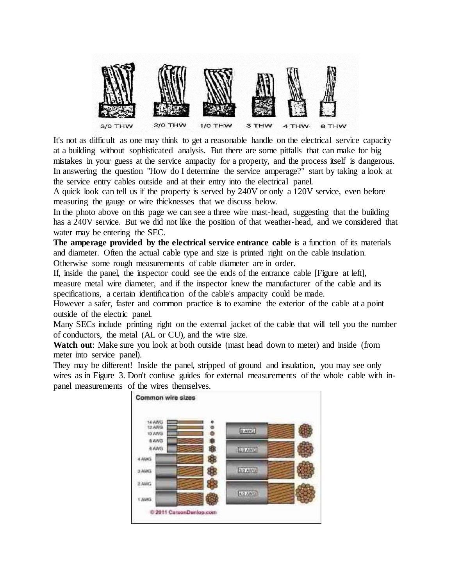

It's not as difficult as one may think to get a reasonable handle on the electrical service capacity at a building without sophisticated analysis. But there are some pitfalls that can make for big mistakes in your guess at the service ampacity for a property, and the process itself is dangerous. In answering the question "How do I determine the service amperage?" start by taking a look at the service entry cables outside and at their entry into the electrical panel.

A quick look can tell us if the property is served by 240V or only a 120V service, even before measuring the gauge or wire thicknesses that we discuss below.

In the photo above on this page we can see a three wire mast-head, suggesting that the building has a 240V service. But we did not like the position of that weather-head, and we considered that water may be entering the SEC.

**The amperage provided by the electrical service entrance cable** is a function of its materials and diameter. Often the actual cable type and size is printed right on the cable insulation.

Otherwise some rough measurements of cable diameter are in order.

If, inside the panel, the inspector could see the ends of the entrance cable [Figure at left], measure metal wire diameter, and if the inspector knew the manufacturer of the cable and its specifications, a certain identification of the cable's ampacity could be made.

However a safer, faster and common practice is to examine the exterior of the cable at a point outside of the electric panel.

Many SECs include printing right on the external jacket of the cable that will tell you the number of conductors, the metal (AL or CU), and the wire size.

**Watch out**: Make sure you look at both outside (mast head down to meter) and inside (from meter into service panel).

They may be different! Inside the panel, stripped of ground and insulation, you may see only wires as in Figure 3. Don't confuse guides for external measurements of the whole cable with inpanel measurements of the wires themselves.

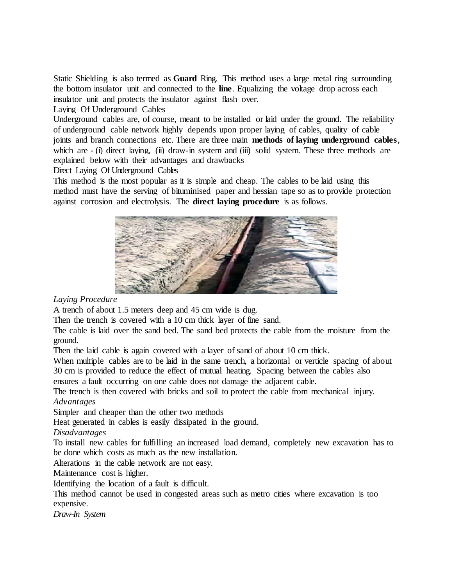Static Shielding is also termed as **Guard** Ring. This method uses a large metal ring surrounding the bottom insulator unit and connected to the **line**. Equalizing the voltage drop across each insulator unit and protects the insulator against flash over.

Laying Of Underground Cables

[Underground cables](http://www.electricaleasy.com/2017/03/underground-power-cables.html) are, of course, meant to be installed or laid under the ground. The reliability of underground cable network highly depends upon proper laying of cables, quality of cable joints and branch connections etc. There are three main **methods of laying underground cables**, which are  $-$  (i) direct laying, (ii) draw-in system and (iii) solid system. These three methods are explained below with their advantages and drawbacks

Direct Laying Of Underground Cables

This method is the most popular as it is simple and cheap. The cables to be laid using this method must have the serving of bituminised paper and hessian tape so as to provide protection against corrosion and electrolysis. The **direct laying procedure** is as follows.



*Laying Procedure*

A trench of about 1.5 meters deep and 45 cm wide is dug.

Then the trench is covered with a 10 cm thick layer of fine sand.

The cable is laid over the sand bed. The sand bed protects the cable from the moisture from the ground.

Then the laid cable is again covered with a layer of sand of about 10 cm thick.

When multiple cables are to be laid in the same trench, a horizontal or verticle spacing of about 30 cm is provided to reduce the effect of mutual heating. Spacing between the cables also ensures a fault occurring on one cable does not damage the adjacent cable.

The trench is then covered with bricks and soil to protect the cable from mechanical injury.

*Advantages*

Simpler and cheaper than the other two methods

Heat generated in cables is easily dissipated in the ground.

*Disadvantages*

To install new cables for fulfilling an increased [load demand,](http://www.electricaleasy.com/2016/01/variable-loads-on-power-system.html) completely new excavation has to be done which costs as much as the new installation.

Alterations in the cable network are not easy.

Maintenance cost is higher.

Identifying the location of a fault is difficult.

This method cannot be used in congested areas such as metro cities where excavation is too expensive.

*Draw-In System*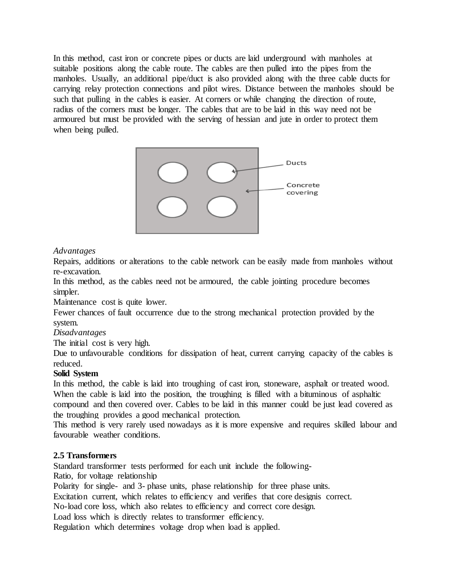In this method, cast iron or concrete pipes or ducts are laid underground with manholes at suitable positions along the cable route. The cables are then pulled into the pipes from the manholes. Usually, an additional pipe/duct is also provided along with the three cable ducts for carrying relay protection connections and pilot wires. Distance between the manholes should be such that pulling in the cables is easier. At corners or while changing the direction of route, radius of the corners must be longer. The cables that are to be laid in this way need not be armoured but must be provided with the serving of hessian and jute in order to protect them when being pulled.



### *Advantages*

Repairs, additions or alterations to the cable network can be easily made from manholes without re-excavation.

In this method, as the cables need not be armoured, the cable jointing procedure becomes simpler.

Maintenance cost is quite lower.

Fewer chances of fault occurrence due to the strong mechanical protection provided by the system.

#### *Disadvantages*

The initial cost is very high.

Due to unfavourable conditions for dissipation of heat, current carrying capacity of the cables is reduced.

#### **Solid System**

In this method, the cable is laid into troughing of cast iron, stoneware, asphalt or treated wood. When the cable is laid into the position, the troughing is filled with a bituminous of asphaltic compound and then covered over. Cables to be laid in this manner could be just lead covered as the troughing provides a good mechanical protection.

This method is very rarely used nowadays as it is more expensive and requires skilled labour and favourable weather conditions.

### **2.5 Transformers**

Standard transformer tests performed for each unit include the following-

Ratio, for voltage relationship

Polarity for single- and 3- phase units, phase relationship for three phase units.

Excitation current, which relates to efficiency and verifies that core designis correct.

No-load core loss, which also relates to efficiency and correct core design.

Load loss which is directly relates to transformer efficiency.

Regulation which determines voltage drop when load is applied.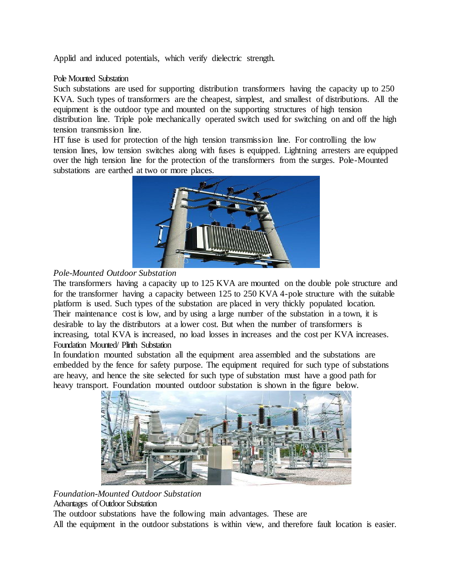Applid and induced potentials, which verify dielectric strength.

#### Pole Mounted Substation

Such substations are used for supporting distribution transformers having the capacity up to 250 KVA. Such types of transformers are the cheapest, simplest, and smallest of distributions. All the equipment is the outdoor type and mounted on the supporting structures of high tension distribution line. Triple pole mechanically operated switch used for switching on and off the high tension transmission line.

HT fuse is used for protection of the high tension transmission line. For controlling the low tension lines, low tension switches along with fuses is equipped. Lightning arresters are equipped over the high tension line for the protection of the transformers from the surges. Pole-Mounted substations are earthed at two or more places.



## *Pole-Mounted Outdoor Substation*

The transformers having a capacity up to 125 KVA are mounted on the double pole structure and for the transformer having a capacity between 125 to 250 KVA 4-pole structure with the suitable platform is used. Such types of the substation are placed in very thickly populated location. Their maintenance cost is low, and by using a large number of the substation in a town, it is desirable to lay the distributors at a lower cost. But when the number of transformers is increasing, total KVA is increased, no load losses in increases and the cost per KVA increases. Foundation Mounted/ Plinth Substation

In foundation mounted substation all the equipment area assembled and the substations are embedded by the fence for safety purpose. The equipment required for such type of substations are heavy, and hence the site selected for such type of substation must have a good path for heavy transport. Foundation mounted outdoor substation is shown in the figure below.



*Foundation-Mounted Outdoor Substation*

Advantages of Outdoor Substation

The outdoor substations have the following main advantages. These are

All the equipment in the outdoor substations is within view, and therefore fault location is easier.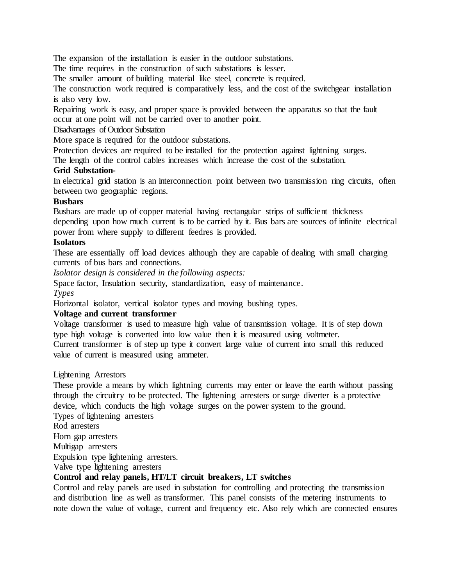The expansion of the installation is easier in the outdoor substations.

The time requires in the construction of such substations is lesser.

The smaller amount of building material like steel, concrete is required.

The construction work required is comparatively less, and the cost of the switchgear installation is also very low.

Repairing work is easy, and proper space is provided between the apparatus so that the fault occur at one point will not be carried over to another point.

#### Disadvantages of Outdoor Substation

More space is required for the outdoor substations.

Protection devices are required to be installed for the protection against lightning surges.

The length of the control cables increases which increase the cost of the substation.

#### **Grid Substation-**

In electrical grid station is an interconnection point between two transmission ring circuits, often between two geographic regions.

#### **Busbars**

Busbars are made up of copper material having rectangular strips of sufficient thickness depending upon how much current is to be carried by it. Bus bars are sources of infinite electrical power from where supply to different feedres is provided.

#### **Isolators**

These are essentially off load devices although they are capable of dealing with small charging currents of bus bars and connections.

*Isolator design is considered in the following aspects:*

Space factor, Insulation security, standardization, easy of maintenance. *Types* 

Horizontal isolator, vertical isolator types and moving bushing types.

#### **Voltage and current transformer**

Voltage transformer is used to measure high value of transmission voltage. It is of step down type high voltage is converted into low value then it is measured using voltmeter.

Current transformer is of step up type it convert large value of current into small this reduced value of current is measured using ammeter.

#### Lightening Arrestors

These provide a means by which lightning currents may enter or leave the earth without passing through the circuitry to be protected. The lightening arresters or surge diverter is a protective device, which conducts the high voltage surges on the power system to the ground. Types of lightening arresters

Rod arresters

Horn gap arresters

Multigap arresters

Expulsion type lightening arresters.

Valve type lightening arresters

## **Control and relay panels, HT/LT circuit breakers, LT switches**

Control and relay panels are used in substation for controlling and protecting the transmission and distribution line as well as transformer. This panel consists of the metering instruments to note down the value of voltage, current and frequency etc. Also rely which are connected ensures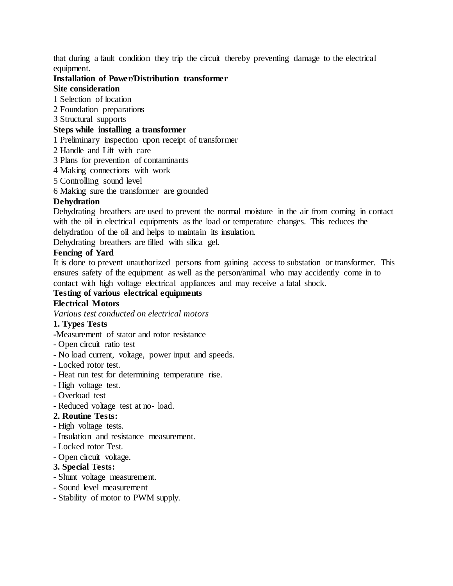that during a fault condition they trip the circuit thereby preventing damage to the electrical equipment.

#### **Installation of Power/Distribution transformer Site consideration**

- 1 Selection of location
- 2 Foundation preparations
- 3 Structural supports

## **Steps while installing a transformer**

1 Preliminary inspection upon receipt of transformer

- 2 Handle and Lift with care
- 3 Plans for prevention of contaminants
- 4 Making connections with work
- 5 Controlling sound level
- 6 Making sure the transformer are grounded

### **Dehydration**

Dehydrating breathers are used to prevent the normal moisture in the air from coming in contact with the oil in electrical equipments as the load or temperature changes. This reduces the dehydration of the oil and helps to maintain its insulation.

Dehydrating breathers are filled with silica gel.

## **Fencing of Yard**

It is done to prevent unauthorized persons from gaining access to substation or transformer. This ensures safety of the equipment as well as the person/animal who may accidently come in to contact with high voltage electrical appliances and may receive a fatal shock.

# **Testing of various electrical equipments**

## **Electrical Motors**

*Various test conducted on electrical motors*

### **1. Types Tests**

**-**Measurement of stator and rotor resistance

- Open circuit ratio test
- No load current, voltage, power input and speeds.
- Locked rotor test.
- Heat run test for determining temperature rise.
- High voltage test.
- Overload test
- Reduced voltage test at no- load.

### **2. Routine Tests:**

- High voltage tests.
- Insulation and resistance measurement.
- Locked rotor Test.
- Open circuit voltage.

### **3. Special Tests:**

- Shunt voltage measurement.
- Sound level measurement
- Stability of motor to PWM supply.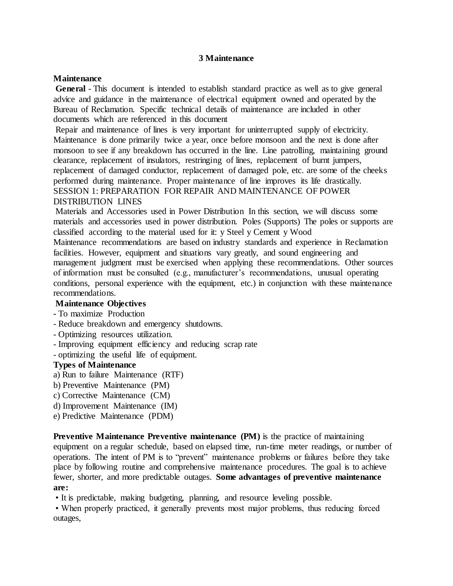#### **3 Maintenance**

#### **Maintenance**

**General** - This document is intended to establish standard practice as well as to give general advice and guidance in the maintenance of electrical equipment owned and operated by the Bureau of Reclamation. Specific technical details of maintenance are included in other documents which are referenced in this document

Repair and maintenance of lines is very important for uninterrupted supply of electricity. Maintenance is done primarily twice a year, once before monsoon and the next is done after monsoon to see if any breakdown has occurred in the line. Line patrolling, maintaining ground clearance, replacement of insulators, restringing of lines, replacement of burnt jumpers, replacement of damaged conductor, replacement of damaged pole, etc. are some of the cheeks performed during maintenance. Proper maintenance of line improves its life drastically. SESSION 1: PREPARATION FOR REPAIR AND MAINTENANCE OF POWER DISTRIBUTION LINES

Materials and Accessories used in Power Distribution In this section, we will discuss some materials and accessories used in power distribution. Poles (Supports) The poles or supports are classified according to the material used for it: y Steel y Cement y Wood

Maintenance recommendations are based on industry standards and experience in Reclamation facilities. However, equipment and situations vary greatly, and sound engineering and management judgment must be exercised when applying these recommendations. Other sources of information must be consulted (e.g., manufacturer's recommendations, unusual operating conditions, personal experience with the equipment, etc.) in conjunction with these maintenance recommendations.

### **Maintenance Objectives**

### **-** To maximize Production

- Reduce breakdown and emergency shutdowns.
- Optimizing resources utilization.
- Improving equipment efficiency and reducing scrap rate
- optimizing the useful life of equipment.

#### **Types of Maintenance**

- a) Run to failure Maintenance (RTF)
- b) Preventive Maintenance (PM)
- c) Corrective Maintenance (CM)
- d) Improvement Maintenance (IM)
- e) Predictive Maintenance (PDM)

**Preventive Maintenance Preventive maintenance (PM)** is the practice of maintaining equipment on a regular schedule, based on elapsed time, run-time meter readings, or number of operations. The intent of PM is to "prevent" maintenance problems or failures before they take place by following routine and comprehensive maintenance procedures. The goal is to achieve fewer, shorter, and more predictable outages. **Some advantages of preventive maintenance are:**

• It is predictable, making budgeting, planning, and resource leveling possible.

• When properly practiced, it generally prevents most major problems, thus reducing forced outages,